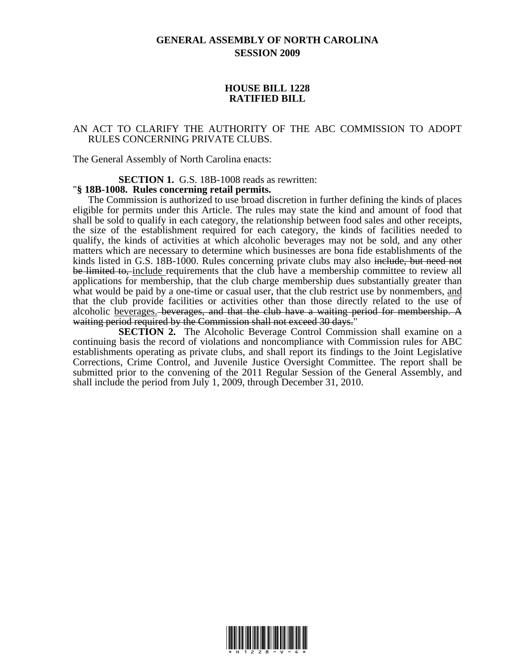## **GENERAL ASSEMBLY OF NORTH CAROLINA SESSION 2009**

## **HOUSE BILL 1228 RATIFIED BILL**

## AN ACT TO CLARIFY THE AUTHORITY OF THE ABC COMMISSION TO ADOPT RULES CONCERNING PRIVATE CLUBS.

The General Assembly of North Carolina enacts:

**SECTION 1.** G.S. 18B-1008 reads as rewritten: "**§ 18B-1008. Rules concerning retail permits.** 

The Commission is authorized to use broad discretion in further defining the kinds of places eligible for permits under this Article. The rules may state the kind and amount of food that shall be sold to qualify in each category, the relationship between food sales and other receipts, the size of the establishment required for each category, the kinds of facilities needed to qualify, the kinds of activities at which alcoholic beverages may not be sold, and any other matters which are necessary to determine which businesses are bona fide establishments of the kinds listed in G.S. 18B-1000. Rules concerning private clubs may also include, but need not be limited to, include requirements that the club have a membership committee to review all applications for membership, that the club charge membership dues substantially greater than what would be paid by a one-time or casual user, that the club restrict use by nonmembers, and that the club provide facilities or activities other than those directly related to the use of alcoholic beverages. beverages, and that the club have a waiting period for membership. A waiting period required by the Commission shall not exceed 30 days."

**SECTION 2.** The Alcoholic Beverage Control Commission shall examine on a continuing basis the record of violations and noncompliance with Commission rules for ABC establishments operating as private clubs, and shall report its findings to the Joint Legislative Corrections, Crime Control, and Juvenile Justice Oversight Committee. The report shall be submitted prior to the convening of the 2011 Regular Session of the General Assembly, and shall include the period from July 1, 2009, through December 31, 2010.